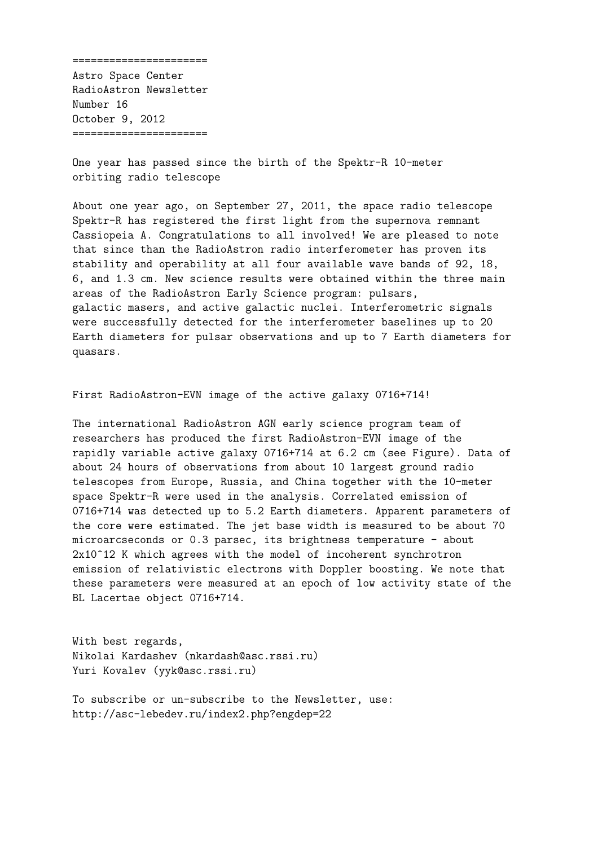====================== Astro Space Center RadioAstron Newsletter Number 16 October 9, 2012 ======================

One year has passed since the birth of the Spektr-R 10-meter orbiting radio telescope

About one year ago, on September 27, 2011, the space radio telescope Spektr-R has registered the first light from the supernova remnant Cassiopeia A. Congratulations to all involved! We are pleased to note that since than the RadioAstron radio interferometer has proven its stability and operability at all four available wave bands of 92, 18, 6, and 1.3 cm. New science results were obtained within the three main areas of the RadioAstron Early Science program: pulsars, galactic masers, and active galactic nuclei. Interferometric signals were successfully detected for the interferometer baselines up to 20 Earth diameters for pulsar observations and up to 7 Earth diameters for quasars.

First RadioAstron-EVN image of the active galaxy 0716+714!

The international RadioAstron AGN early science program team of researchers has produced the first RadioAstron-EVN image of the rapidly variable active galaxy 0716+714 at 6.2 cm (see Figure). Data of about 24 hours of observations from about 10 largest ground radio telescopes from Europe, Russia, and China together with the 10-meter space Spektr-R were used in the analysis. Correlated emission of 0716+714 was detected up to 5.2 Earth diameters. Apparent parameters of the core were estimated. The jet base width is measured to be about 70 microarcseconds or 0.3 parsec, its brightness temperature - about 2x10<sup> $\textdegree$ 12 K which agrees with the model of incoherent synchrotron</sup> emission of relativistic electrons with Doppler boosting. We note that these parameters were measured at an epoch of low activity state of the BL Lacertae object 0716+714.

With best regards, Nikolai Kardashev (nkardash@asc.rssi.ru) Yuri Kovalev (yyk@asc.rssi.ru)

To subscribe or un-subscribe to the Newsletter, use: http://asc-lebedev.ru/index2.php?engdep=22